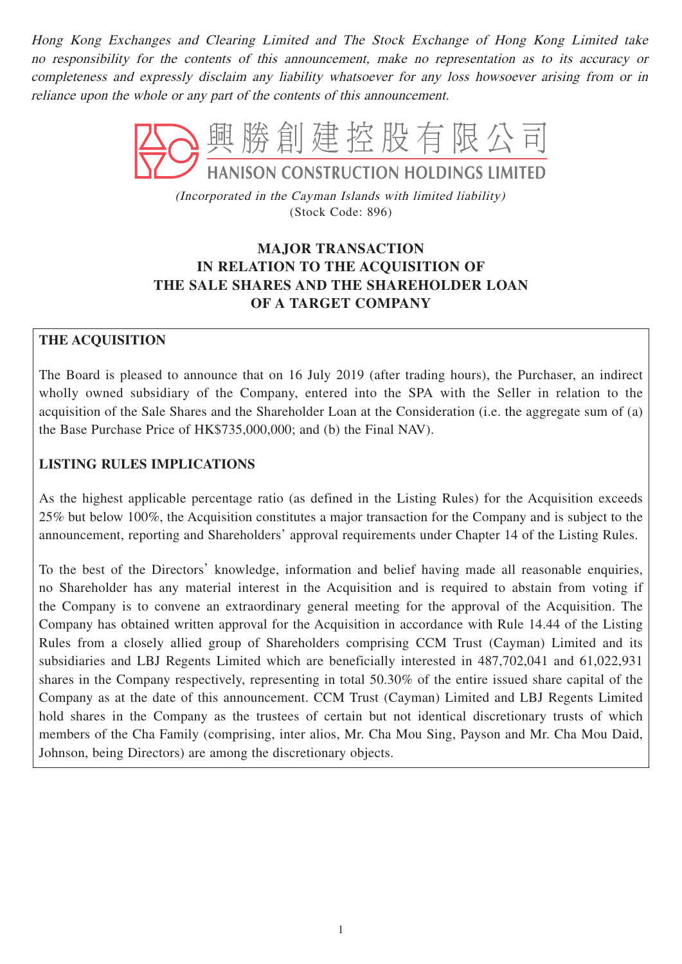Hong Kong Exchanges and Clearing Limited and The Stock Exchange of Hong Kong Limited take no responsibility for the contents of this announcement, make no representation as to its accuracy or completeness and expressly disclaim any liability whatsoever for any loss howsoever arising from or in reliance upon the whole or any part of the contents of this announcement.



(Incorporated in the Cayman Islands with limited liability) (Stock Code: 896)

# **MAJOR TRANSACTION IN RELATION TO THE ACQUISITION OF THE SALE SHARES AND THE SHAREHOLDER LOAN OF A TARGET COMPANY**

## **THE ACQUISITION**

The Board is pleased to announce that on 16 July 2019 (after trading hours), the Purchaser, an indirect wholly owned subsidiary of the Company, entered into the SPA with the Seller in relation to the acquisition of the Sale Shares and the Shareholder Loan at the Consideration (i.e. the aggregate sum of (a) the Base Purchase Price of HK\$735,000,000; and (b) the Final NAV).

## **LISTING RULES IMPLICATIONS**

As the highest applicable percentage ratio (as defined in the Listing Rules) for the Acquisition exceeds 25% but below 100%, the Acquisition constitutes a major transaction for the Company and is subject to the announcement, reporting and Shareholders' approval requirements under Chapter 14 of the Listing Rules.

To the best of the Directors' knowledge, information and belief having made all reasonable enquiries, no Shareholder has any material interest in the Acquisition and is required to abstain from voting if the Company is to convene an extraordinary general meeting for the approval of the Acquisition. The Company has obtained written approval for the Acquisition in accordance with Rule 14.44 of the Listing Rules from a closely allied group of Shareholders comprising CCM Trust (Cayman) Limited and its subsidiaries and LBJ Regents Limited which are beneficially interested in 487,702,041 and 61,022,931 shares in the Company respectively, representing in total 50.30% of the entire issued share capital of the Company as at the date of this announcement. CCM Trust (Cayman) Limited and LBJ Regents Limited hold shares in the Company as the trustees of certain but not identical discretionary trusts of which members of the Cha Family (comprising, inter alios, Mr. Cha Mou Sing, Payson and Mr. Cha Mou Daid, Johnson, being Directors) are among the discretionary objects.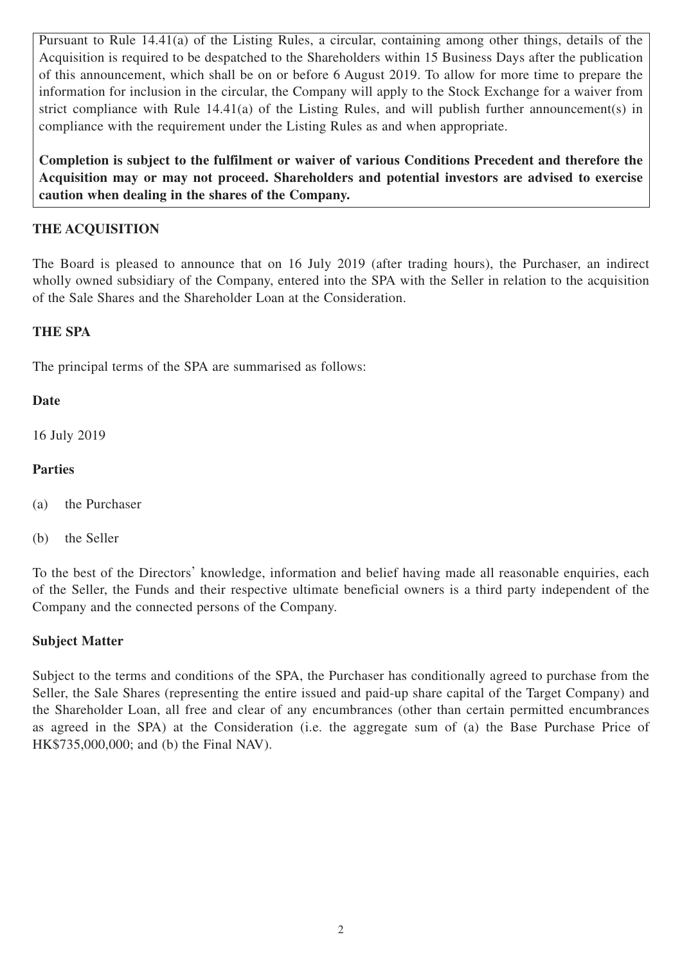Pursuant to Rule 14.41(a) of the Listing Rules, a circular, containing among other things, details of the Acquisition is required to be despatched to the Shareholders within 15 Business Days after the publication of this announcement, which shall be on or before 6 August 2019. To allow for more time to prepare the information for inclusion in the circular, the Company will apply to the Stock Exchange for a waiver from strict compliance with Rule 14.41(a) of the Listing Rules, and will publish further announcement(s) in compliance with the requirement under the Listing Rules as and when appropriate.

**Completion is subject to the fulfilment or waiver of various Conditions Precedent and therefore the Acquisition may or may not proceed. Shareholders and potential investors are advised to exercise caution when dealing in the shares of the Company.**

## **THE ACQUISITION**

The Board is pleased to announce that on 16 July 2019 (after trading hours), the Purchaser, an indirect wholly owned subsidiary of the Company, entered into the SPA with the Seller in relation to the acquisition of the Sale Shares and the Shareholder Loan at the Consideration.

#### **THE SPA**

The principal terms of the SPA are summarised as follows:

### **Date**

16 July 2019

### **Parties**

- (a) the Purchaser
- (b) the Seller

To the best of the Directors' knowledge, information and belief having made all reasonable enquiries, each of the Seller, the Funds and their respective ultimate beneficial owners is a third party independent of the Company and the connected persons of the Company.

#### **Subject Matter**

Subject to the terms and conditions of the SPA, the Purchaser has conditionally agreed to purchase from the Seller, the Sale Shares (representing the entire issued and paid-up share capital of the Target Company) and the Shareholder Loan, all free and clear of any encumbrances (other than certain permitted encumbrances as agreed in the SPA) at the Consideration (i.e. the aggregate sum of (a) the Base Purchase Price of HK\$735,000,000; and (b) the Final NAV).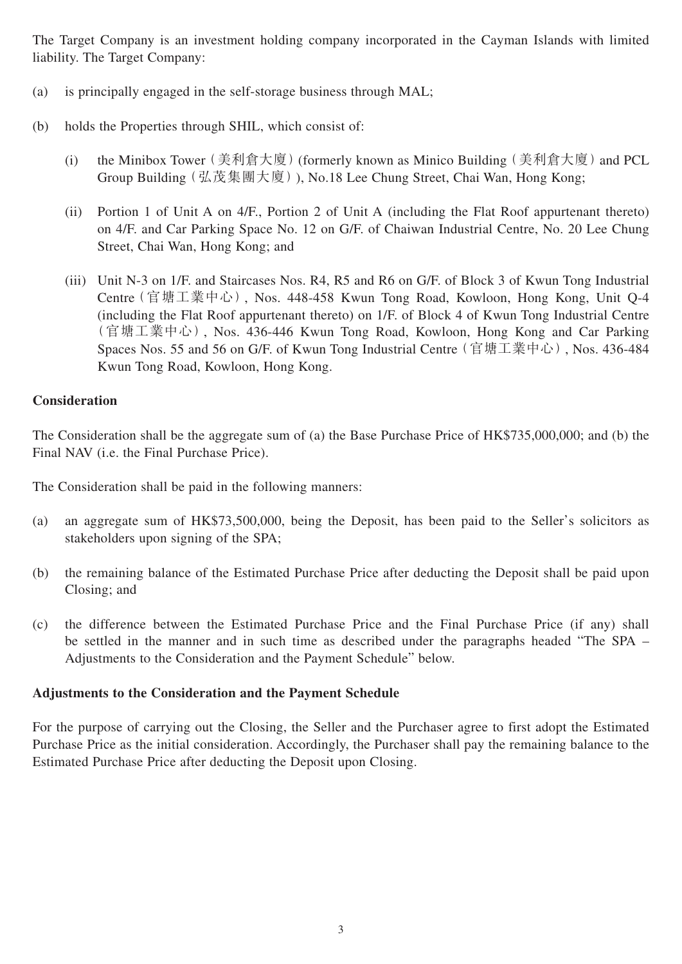The Target Company is an investment holding company incorporated in the Cayman Islands with limited liability. The Target Company:

- (a) is principally engaged in the self-storage business through MAL;
- (b) holds the Properties through SHIL, which consist of:
	- (i) the Minibox Tower (美利倉大廈) (formerly known as Minico Building (美利倉大廈) and PCL Group Building(弘茂集團大廈)), No.18 Lee Chung Street, Chai Wan, Hong Kong;
	- (ii) Portion 1 of Unit A on 4/F., Portion 2 of Unit A (including the Flat Roof appurtenant thereto) on 4/F. and Car Parking Space No. 12 on G/F. of Chaiwan Industrial Centre, No. 20 Lee Chung Street, Chai Wan, Hong Kong; and
	- (iii) Unit N-3 on 1/F. and Staircases Nos. R4, R5 and R6 on G/F. of Block 3 of Kwun Tong Industrial Centre(官塘工業中心), Nos. 448-458 Kwun Tong Road, Kowloon, Hong Kong, Unit Q-4 (including the Flat Roof appurtenant thereto) on 1/F. of Block 4 of Kwun Tong Industrial Centre (官塘工業中心), Nos. 436-446 Kwun Tong Road, Kowloon, Hong Kong and Car Parking Spaces Nos. 55 and 56 on G/F. of Kwun Tong Industrial Centre(官塘工業中心), Nos. 436-484 Kwun Tong Road, Kowloon, Hong Kong.

#### **Consideration**

The Consideration shall be the aggregate sum of (a) the Base Purchase Price of HK\$735,000,000; and (b) the Final NAV (i.e. the Final Purchase Price).

The Consideration shall be paid in the following manners:

- (a) an aggregate sum of HK\$73,500,000, being the Deposit, has been paid to the Seller's solicitors as stakeholders upon signing of the SPA;
- (b) the remaining balance of the Estimated Purchase Price after deducting the Deposit shall be paid upon Closing; and
- (c) the difference between the Estimated Purchase Price and the Final Purchase Price (if any) shall be settled in the manner and in such time as described under the paragraphs headed "The SPA – Adjustments to the Consideration and the Payment Schedule" below.

#### **Adjustments to the Consideration and the Payment Schedule**

For the purpose of carrying out the Closing, the Seller and the Purchaser agree to first adopt the Estimated Purchase Price as the initial consideration. Accordingly, the Purchaser shall pay the remaining balance to the Estimated Purchase Price after deducting the Deposit upon Closing.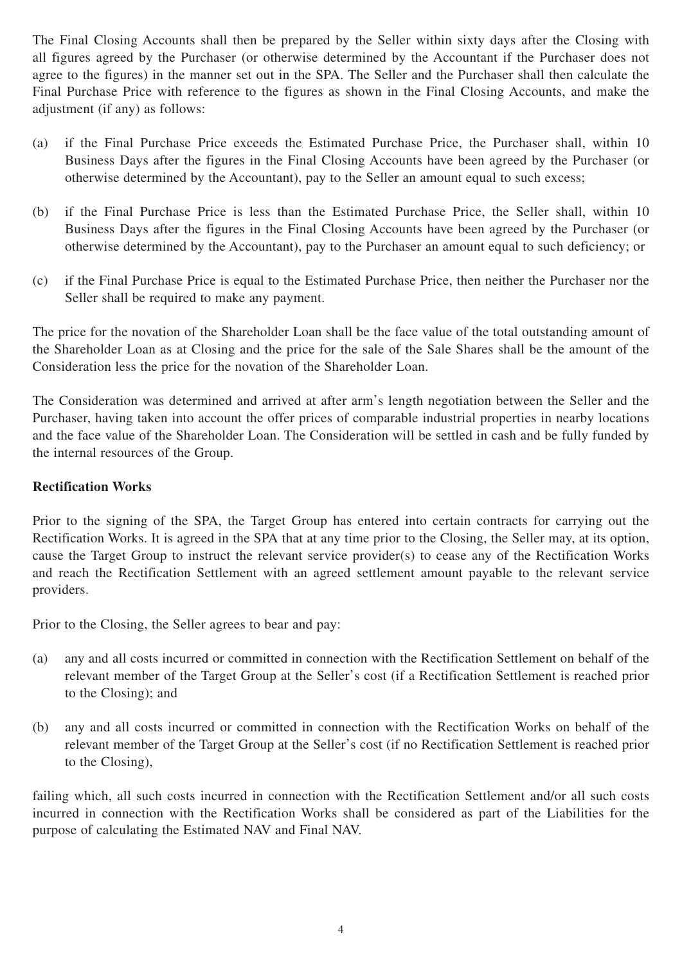The Final Closing Accounts shall then be prepared by the Seller within sixty days after the Closing with all figures agreed by the Purchaser (or otherwise determined by the Accountant if the Purchaser does not agree to the figures) in the manner set out in the SPA. The Seller and the Purchaser shall then calculate the Final Purchase Price with reference to the figures as shown in the Final Closing Accounts, and make the adjustment (if any) as follows:

- (a) if the Final Purchase Price exceeds the Estimated Purchase Price, the Purchaser shall, within 10 Business Days after the figures in the Final Closing Accounts have been agreed by the Purchaser (or otherwise determined by the Accountant), pay to the Seller an amount equal to such excess;
- (b) if the Final Purchase Price is less than the Estimated Purchase Price, the Seller shall, within 10 Business Days after the figures in the Final Closing Accounts have been agreed by the Purchaser (or otherwise determined by the Accountant), pay to the Purchaser an amount equal to such deficiency; or
- (c) if the Final Purchase Price is equal to the Estimated Purchase Price, then neither the Purchaser nor the Seller shall be required to make any payment.

The price for the novation of the Shareholder Loan shall be the face value of the total outstanding amount of the Shareholder Loan as at Closing and the price for the sale of the Sale Shares shall be the amount of the Consideration less the price for the novation of the Shareholder Loan.

The Consideration was determined and arrived at after arm's length negotiation between the Seller and the Purchaser, having taken into account the offer prices of comparable industrial properties in nearby locations and the face value of the Shareholder Loan. The Consideration will be settled in cash and be fully funded by the internal resources of the Group.

#### **Rectification Works**

Prior to the signing of the SPA, the Target Group has entered into certain contracts for carrying out the Rectification Works. It is agreed in the SPA that at any time prior to the Closing, the Seller may, at its option, cause the Target Group to instruct the relevant service provider(s) to cease any of the Rectification Works and reach the Rectification Settlement with an agreed settlement amount payable to the relevant service providers.

Prior to the Closing, the Seller agrees to bear and pay:

- (a) any and all costs incurred or committed in connection with the Rectification Settlement on behalf of the relevant member of the Target Group at the Seller's cost (if a Rectification Settlement is reached prior to the Closing); and
- (b) any and all costs incurred or committed in connection with the Rectification Works on behalf of the relevant member of the Target Group at the Seller's cost (if no Rectification Settlement is reached prior to the Closing),

failing which, all such costs incurred in connection with the Rectification Settlement and/or all such costs incurred in connection with the Rectification Works shall be considered as part of the Liabilities for the purpose of calculating the Estimated NAV and Final NAV.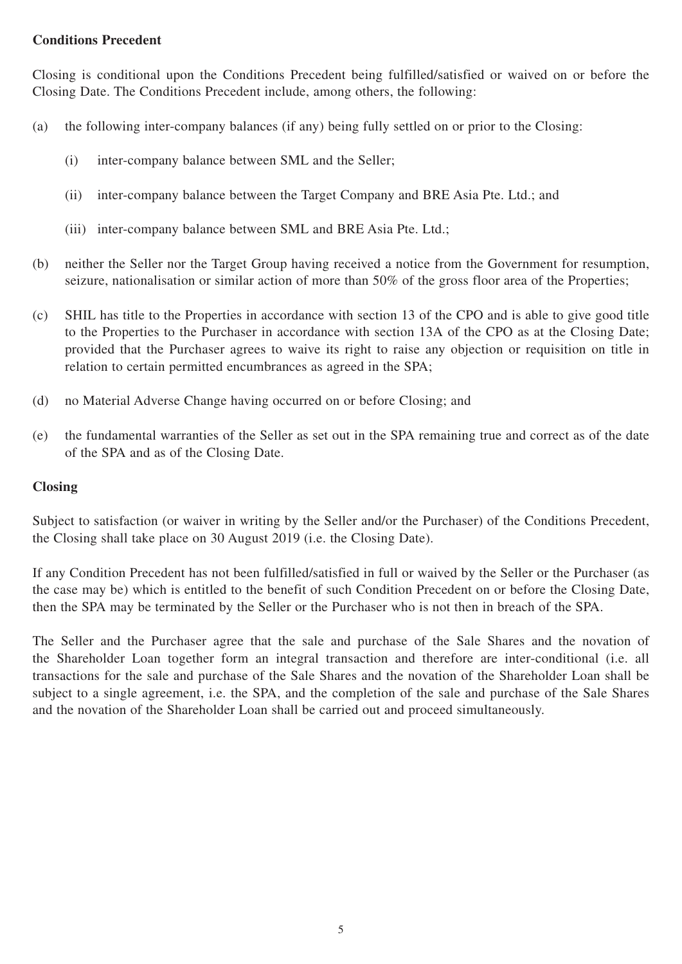#### **Conditions Precedent**

Closing is conditional upon the Conditions Precedent being fulfilled/satisfied or waived on or before the Closing Date. The Conditions Precedent include, among others, the following:

- (a) the following inter-company balances (if any) being fully settled on or prior to the Closing:
	- (i) inter-company balance between SML and the Seller;
	- (ii) inter-company balance between the Target Company and BRE Asia Pte. Ltd.; and
	- (iii) inter-company balance between SML and BRE Asia Pte. Ltd.;
- (b) neither the Seller nor the Target Group having received a notice from the Government for resumption, seizure, nationalisation or similar action of more than 50% of the gross floor area of the Properties;
- (c) SHIL has title to the Properties in accordance with section 13 of the CPO and is able to give good title to the Properties to the Purchaser in accordance with section 13A of the CPO as at the Closing Date; provided that the Purchaser agrees to waive its right to raise any objection or requisition on title in relation to certain permitted encumbrances as agreed in the SPA;
- (d) no Material Adverse Change having occurred on or before Closing; and
- (e) the fundamental warranties of the Seller as set out in the SPA remaining true and correct as of the date of the SPA and as of the Closing Date.

### **Closing**

Subject to satisfaction (or waiver in writing by the Seller and/or the Purchaser) of the Conditions Precedent, the Closing shall take place on 30 August 2019 (i.e. the Closing Date).

If any Condition Precedent has not been fulfilled/satisfied in full or waived by the Seller or the Purchaser (as the case may be) which is entitled to the benefit of such Condition Precedent on or before the Closing Date, then the SPA may be terminated by the Seller or the Purchaser who is not then in breach of the SPA.

The Seller and the Purchaser agree that the sale and purchase of the Sale Shares and the novation of the Shareholder Loan together form an integral transaction and therefore are inter-conditional (i.e. all transactions for the sale and purchase of the Sale Shares and the novation of the Shareholder Loan shall be subject to a single agreement, i.e. the SPA, and the completion of the sale and purchase of the Sale Shares and the novation of the Shareholder Loan shall be carried out and proceed simultaneously.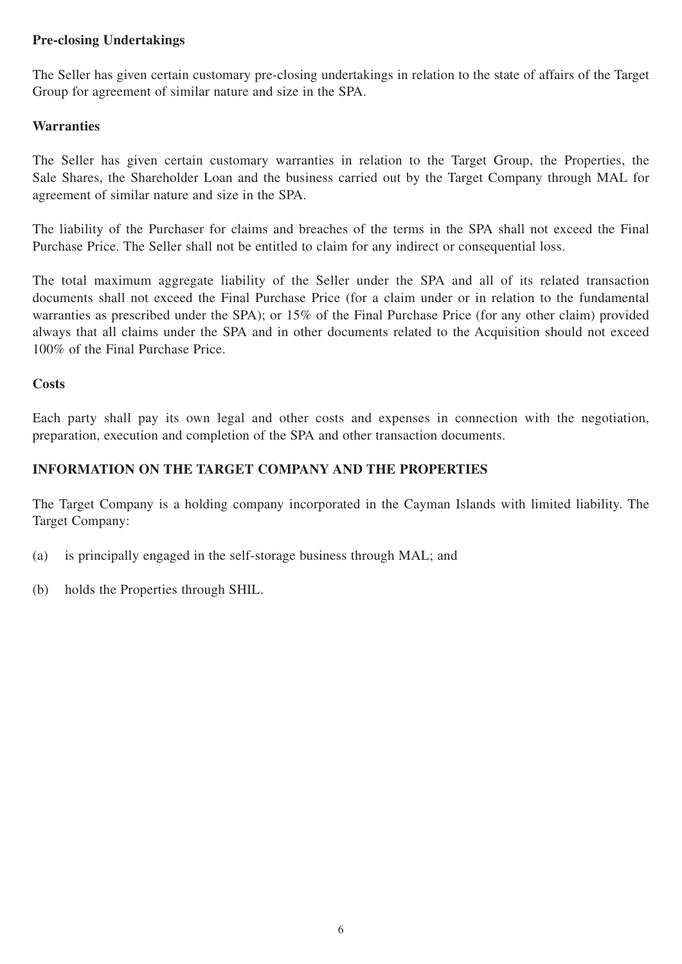#### **Pre-closing Undertakings**

The Seller has given certain customary pre-closing undertakings in relation to the state of affairs of the Target Group for agreement of similar nature and size in the SPA.

### **Warranties**

The Seller has given certain customary warranties in relation to the Target Group, the Properties, the Sale Shares, the Shareholder Loan and the business carried out by the Target Company through MAL for agreement of similar nature and size in the SPA.

The liability of the Purchaser for claims and breaches of the terms in the SPA shall not exceed the Final Purchase Price. The Seller shall not be entitled to claim for any indirect or consequential loss.

The total maximum aggregate liability of the Seller under the SPA and all of its related transaction documents shall not exceed the Final Purchase Price (for a claim under or in relation to the fundamental warranties as prescribed under the SPA); or 15% of the Final Purchase Price (for any other claim) provided always that all claims under the SPA and in other documents related to the Acquisition should not exceed 100% of the Final Purchase Price.

#### **Costs**

Each party shall pay its own legal and other costs and expenses in connection with the negotiation, preparation, execution and completion of the SPA and other transaction documents.

### **INFORMATION ON THE TARGET COMPANY AND THE PROPERTIES**

The Target Company is a holding company incorporated in the Cayman Islands with limited liability. The Target Company:

- (a) is principally engaged in the self-storage business through MAL; and
- (b) holds the Properties through SHIL.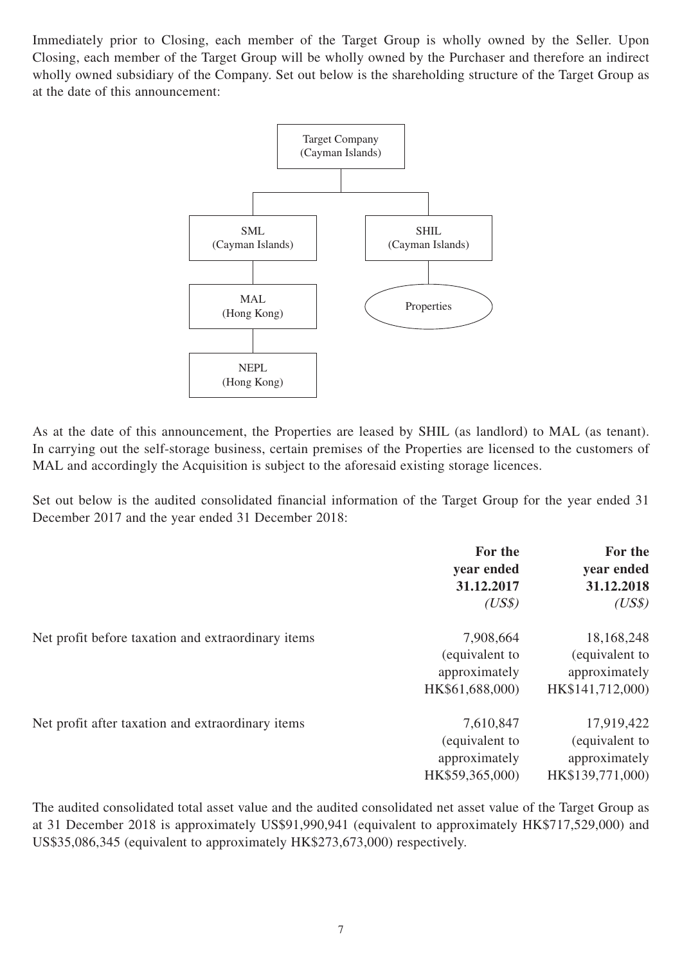Immediately prior to Closing, each member of the Target Group is wholly owned by the Seller. Upon Closing, each member of the Target Group will be wholly owned by the Purchaser and therefore an indirect wholly owned subsidiary of the Company. Set out below is the shareholding structure of the Target Group as at the date of this announcement:



As at the date of this announcement, the Properties are leased by SHIL (as landlord) to MAL (as tenant). In carrying out the self-storage business, certain premises of the Properties are licensed to the customers of MAL and accordingly the Acquisition is subject to the aforesaid existing storage licences.

Set out below is the audited consolidated financial information of the Target Group for the year ended 31 December 2017 and the year ended 31 December 2018:

|                                                    | For the<br>year ended<br>31.12.2017<br>(US\$)                   | For the<br>year ended<br>31.12.2018<br>(US\$)                     |
|----------------------------------------------------|-----------------------------------------------------------------|-------------------------------------------------------------------|
| Net profit before taxation and extraordinary items | 7,908,664<br>(equivalent to<br>approximately<br>HK\$61,688,000) | 18,168,248<br>(equivalent to<br>approximately<br>HK\$141,712,000) |
| Net profit after taxation and extraordinary items  | 7,610,847<br>(equivalent to<br>approximately<br>HK\$59,365,000) | 17,919,422<br>(equivalent to<br>approximately<br>HK\$139,771,000) |

The audited consolidated total asset value and the audited consolidated net asset value of the Target Group as at 31 December 2018 is approximately US\$91,990,941 (equivalent to approximately HK\$717,529,000) and US\$35,086,345 (equivalent to approximately HK\$273,673,000) respectively.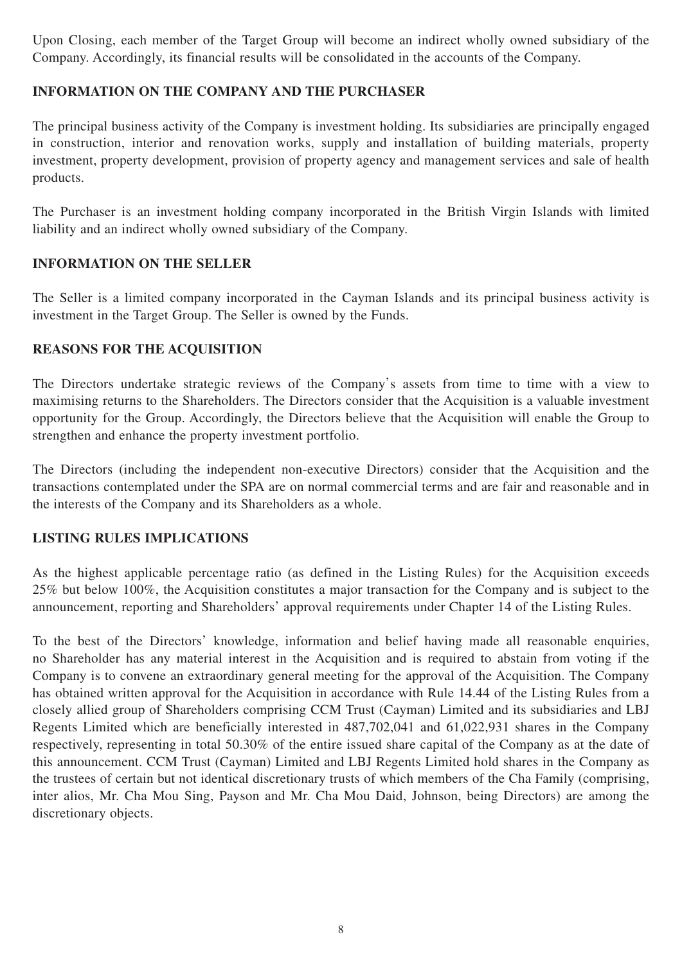Upon Closing, each member of the Target Group will become an indirect wholly owned subsidiary of the Company. Accordingly, its financial results will be consolidated in the accounts of the Company.

## **INFORMATION ON THE COMPANY AND THE PURCHASER**

The principal business activity of the Company is investment holding. Its subsidiaries are principally engaged in construction, interior and renovation works, supply and installation of building materials, property investment, property development, provision of property agency and management services and sale of health products.

The Purchaser is an investment holding company incorporated in the British Virgin Islands with limited liability and an indirect wholly owned subsidiary of the Company.

### **INFORMATION ON THE SELLER**

The Seller is a limited company incorporated in the Cayman Islands and its principal business activity is investment in the Target Group. The Seller is owned by the Funds.

## **REASONS FOR THE ACQUISITION**

The Directors undertake strategic reviews of the Company's assets from time to time with a view to maximising returns to the Shareholders. The Directors consider that the Acquisition is a valuable investment opportunity for the Group. Accordingly, the Directors believe that the Acquisition will enable the Group to strengthen and enhance the property investment portfolio.

The Directors (including the independent non-executive Directors) consider that the Acquisition and the transactions contemplated under the SPA are on normal commercial terms and are fair and reasonable and in the interests of the Company and its Shareholders as a whole.

#### **LISTING RULES IMPLICATIONS**

As the highest applicable percentage ratio (as defined in the Listing Rules) for the Acquisition exceeds 25% but below 100%, the Acquisition constitutes a major transaction for the Company and is subject to the announcement, reporting and Shareholders' approval requirements under Chapter 14 of the Listing Rules.

To the best of the Directors' knowledge, information and belief having made all reasonable enquiries, no Shareholder has any material interest in the Acquisition and is required to abstain from voting if the Company is to convene an extraordinary general meeting for the approval of the Acquisition. The Company has obtained written approval for the Acquisition in accordance with Rule 14.44 of the Listing Rules from a closely allied group of Shareholders comprising CCM Trust (Cayman) Limited and its subsidiaries and LBJ Regents Limited which are beneficially interested in 487,702,041 and 61,022,931 shares in the Company respectively, representing in total 50.30% of the entire issued share capital of the Company as at the date of this announcement. CCM Trust (Cayman) Limited and LBJ Regents Limited hold shares in the Company as the trustees of certain but not identical discretionary trusts of which members of the Cha Family (comprising, inter alios, Mr. Cha Mou Sing, Payson and Mr. Cha Mou Daid, Johnson, being Directors) are among the discretionary objects.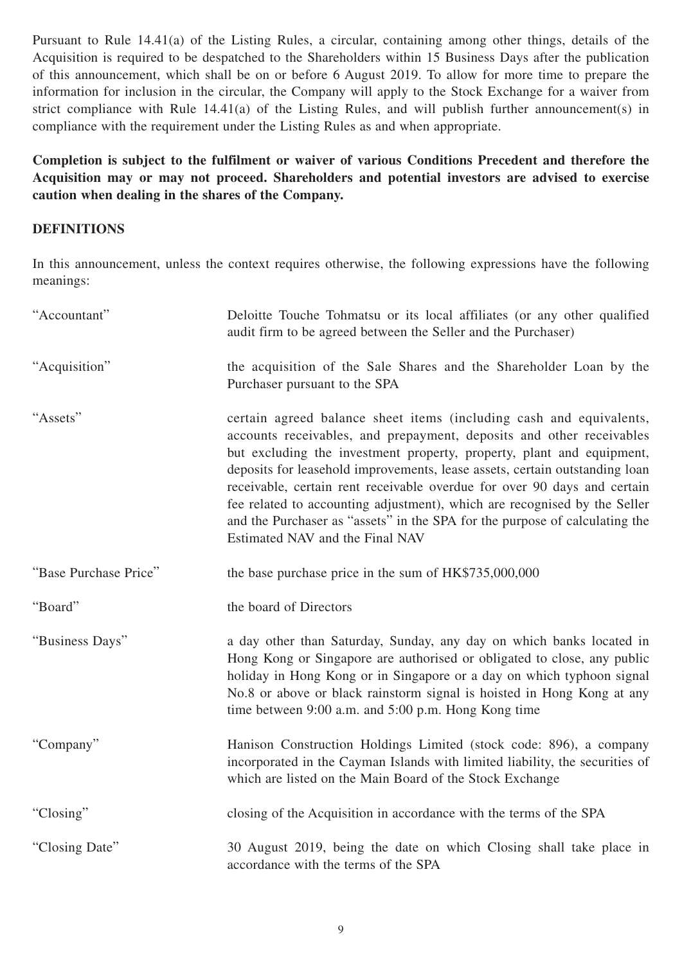Pursuant to Rule 14.41(a) of the Listing Rules, a circular, containing among other things, details of the Acquisition is required to be despatched to the Shareholders within 15 Business Days after the publication of this announcement, which shall be on or before 6 August 2019. To allow for more time to prepare the information for inclusion in the circular, the Company will apply to the Stock Exchange for a waiver from strict compliance with Rule 14.41(a) of the Listing Rules, and will publish further announcement(s) in compliance with the requirement under the Listing Rules as and when appropriate.

**Completion is subject to the fulfilment or waiver of various Conditions Precedent and therefore the Acquisition may or may not proceed. Shareholders and potential investors are advised to exercise caution when dealing in the shares of the Company.**

#### **DEFINITIONS**

In this announcement, unless the context requires otherwise, the following expressions have the following meanings:

| "Accountant"          | Deloitte Touche Tohmatsu or its local affiliates (or any other qualified<br>audit firm to be agreed between the Seller and the Purchaser)                                                                                                                                                                                                                                                                                                                                                                                                                                      |
|-----------------------|--------------------------------------------------------------------------------------------------------------------------------------------------------------------------------------------------------------------------------------------------------------------------------------------------------------------------------------------------------------------------------------------------------------------------------------------------------------------------------------------------------------------------------------------------------------------------------|
| "Acquisition"         | the acquisition of the Sale Shares and the Shareholder Loan by the<br>Purchaser pursuant to the SPA                                                                                                                                                                                                                                                                                                                                                                                                                                                                            |
| "Assets"              | certain agreed balance sheet items (including cash and equivalents,<br>accounts receivables, and prepayment, deposits and other receivables<br>but excluding the investment property, property, plant and equipment,<br>deposits for leasehold improvements, lease assets, certain outstanding loan<br>receivable, certain rent receivable overdue for over 90 days and certain<br>fee related to accounting adjustment), which are recognised by the Seller<br>and the Purchaser as "assets" in the SPA for the purpose of calculating the<br>Estimated NAV and the Final NAV |
| "Base Purchase Price" | the base purchase price in the sum of HK\$735,000,000                                                                                                                                                                                                                                                                                                                                                                                                                                                                                                                          |
| "Board"               | the board of Directors                                                                                                                                                                                                                                                                                                                                                                                                                                                                                                                                                         |
| "Business Days"       | a day other than Saturday, Sunday, any day on which banks located in<br>Hong Kong or Singapore are authorised or obligated to close, any public<br>holiday in Hong Kong or in Singapore or a day on which typhoon signal<br>No.8 or above or black rainstorm signal is hoisted in Hong Kong at any<br>time between 9:00 a.m. and 5:00 p.m. Hong Kong time                                                                                                                                                                                                                      |
| "Company"             | Hanison Construction Holdings Limited (stock code: 896), a company<br>incorporated in the Cayman Islands with limited liability, the securities of<br>which are listed on the Main Board of the Stock Exchange                                                                                                                                                                                                                                                                                                                                                                 |
| "Closing"             | closing of the Acquisition in accordance with the terms of the SPA                                                                                                                                                                                                                                                                                                                                                                                                                                                                                                             |
| "Closing Date"        | 30 August 2019, being the date on which Closing shall take place in<br>accordance with the terms of the SPA                                                                                                                                                                                                                                                                                                                                                                                                                                                                    |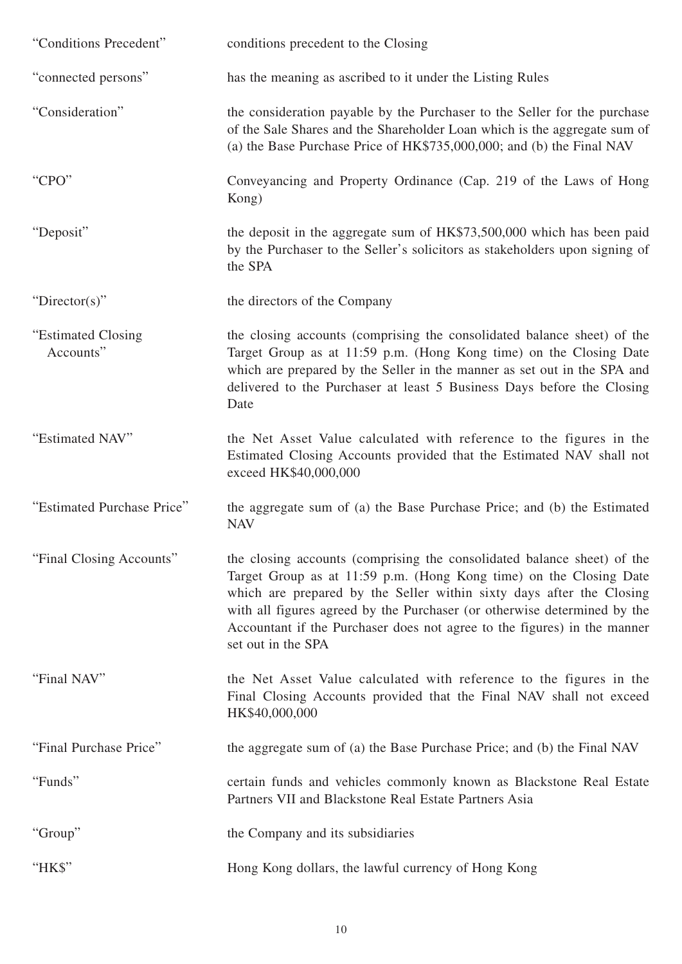| "Conditions Precedent"           | conditions precedent to the Closing                                                                                                                                                                                                                                                                                                                                                                 |
|----------------------------------|-----------------------------------------------------------------------------------------------------------------------------------------------------------------------------------------------------------------------------------------------------------------------------------------------------------------------------------------------------------------------------------------------------|
| "connected persons"              | has the meaning as ascribed to it under the Listing Rules                                                                                                                                                                                                                                                                                                                                           |
| "Consideration"                  | the consideration payable by the Purchaser to the Seller for the purchase<br>of the Sale Shares and the Shareholder Loan which is the aggregate sum of<br>(a) the Base Purchase Price of HK\$735,000,000; and (b) the Final NAV                                                                                                                                                                     |
| "CPO"                            | Conveyancing and Property Ordinance (Cap. 219 of the Laws of Hong<br>Kong)                                                                                                                                                                                                                                                                                                                          |
| "Deposit"                        | the deposit in the aggregate sum of HK\$73,500,000 which has been paid<br>by the Purchaser to the Seller's solicitors as stakeholders upon signing of<br>the SPA                                                                                                                                                                                                                                    |
| "Director(s)"                    | the directors of the Company                                                                                                                                                                                                                                                                                                                                                                        |
| "Estimated Closing"<br>Accounts" | the closing accounts (comprising the consolidated balance sheet) of the<br>Target Group as at 11:59 p.m. (Hong Kong time) on the Closing Date<br>which are prepared by the Seller in the manner as set out in the SPA and<br>delivered to the Purchaser at least 5 Business Days before the Closing<br>Date                                                                                         |
| "Estimated NAV"                  | the Net Asset Value calculated with reference to the figures in the<br>Estimated Closing Accounts provided that the Estimated NAV shall not<br>exceed HK\$40,000,000                                                                                                                                                                                                                                |
| "Estimated Purchase Price"       | the aggregate sum of (a) the Base Purchase Price; and (b) the Estimated<br><b>NAV</b>                                                                                                                                                                                                                                                                                                               |
| "Final Closing Accounts"         | the closing accounts (comprising the consolidated balance sheet) of the<br>Target Group as at 11:59 p.m. (Hong Kong time) on the Closing Date<br>which are prepared by the Seller within sixty days after the Closing<br>with all figures agreed by the Purchaser (or otherwise determined by the<br>Accountant if the Purchaser does not agree to the figures) in the manner<br>set out in the SPA |
| "Final NAV"                      | the Net Asset Value calculated with reference to the figures in the<br>Final Closing Accounts provided that the Final NAV shall not exceed<br>HK\$40,000,000                                                                                                                                                                                                                                        |
| "Final Purchase Price"           | the aggregate sum of (a) the Base Purchase Price; and (b) the Final NAV                                                                                                                                                                                                                                                                                                                             |
| "Funds"                          | certain funds and vehicles commonly known as Blackstone Real Estate<br>Partners VII and Blackstone Real Estate Partners Asia                                                                                                                                                                                                                                                                        |
| "Group"                          | the Company and its subsidiaries                                                                                                                                                                                                                                                                                                                                                                    |
| "HK\$"                           | Hong Kong dollars, the lawful currency of Hong Kong                                                                                                                                                                                                                                                                                                                                                 |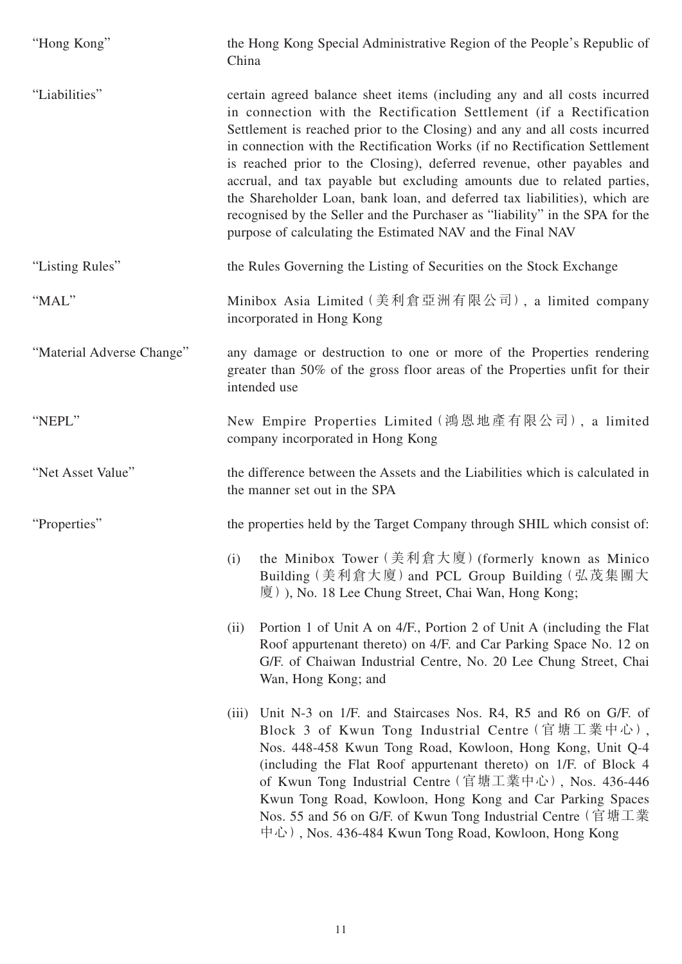| "Hong Kong"               | the Hong Kong Special Administrative Region of the People's Republic of<br>China                                                                                                                                                                                                                                                                                                                                                                                                                                                                                                                                                                                                           |
|---------------------------|--------------------------------------------------------------------------------------------------------------------------------------------------------------------------------------------------------------------------------------------------------------------------------------------------------------------------------------------------------------------------------------------------------------------------------------------------------------------------------------------------------------------------------------------------------------------------------------------------------------------------------------------------------------------------------------------|
| "Liabilities"             | certain agreed balance sheet items (including any and all costs incurred<br>in connection with the Rectification Settlement (if a Rectification<br>Settlement is reached prior to the Closing) and any and all costs incurred<br>in connection with the Rectification Works (if no Rectification Settlement<br>is reached prior to the Closing), deferred revenue, other payables and<br>accrual, and tax payable but excluding amounts due to related parties,<br>the Shareholder Loan, bank loan, and deferred tax liabilities), which are<br>recognised by the Seller and the Purchaser as "liability" in the SPA for the<br>purpose of calculating the Estimated NAV and the Final NAV |
| "Listing Rules"           | the Rules Governing the Listing of Securities on the Stock Exchange                                                                                                                                                                                                                                                                                                                                                                                                                                                                                                                                                                                                                        |
| "MAL"                     | Minibox Asia Limited (美利倉亞洲有限公司), a limited company<br>incorporated in Hong Kong                                                                                                                                                                                                                                                                                                                                                                                                                                                                                                                                                                                                           |
| "Material Adverse Change" | any damage or destruction to one or more of the Properties rendering<br>greater than 50% of the gross floor areas of the Properties unfit for their<br>intended use                                                                                                                                                                                                                                                                                                                                                                                                                                                                                                                        |
| "NEPL"                    | New Empire Properties Limited (鴻恩地產有限公司), a limited<br>company incorporated in Hong Kong                                                                                                                                                                                                                                                                                                                                                                                                                                                                                                                                                                                                   |
| "Net Asset Value"         | the difference between the Assets and the Liabilities which is calculated in<br>the manner set out in the SPA                                                                                                                                                                                                                                                                                                                                                                                                                                                                                                                                                                              |
| "Properties"              | the properties held by the Target Company through SHIL which consist of:                                                                                                                                                                                                                                                                                                                                                                                                                                                                                                                                                                                                                   |
|                           | the Minibox Tower (美利倉大廈) (formerly known as Minico<br>(i)<br>Building (美利倉大廈) and PCL Group Building (弘茂集團大<br>厦), No. 18 Lee Chung Street, Chai Wan, Hong Kong;                                                                                                                                                                                                                                                                                                                                                                                                                                                                                                                          |
|                           | Portion 1 of Unit A on 4/F., Portion 2 of Unit A (including the Flat<br>(ii)<br>Roof appurtenant thereto) on 4/F. and Car Parking Space No. 12 on<br>G/F. of Chaiwan Industrial Centre, No. 20 Lee Chung Street, Chai<br>Wan, Hong Kong; and                                                                                                                                                                                                                                                                                                                                                                                                                                               |
|                           | Unit N-3 on 1/F. and Staircases Nos. R4, R5 and R6 on G/F. of<br>(iii)<br>Block 3 of Kwun Tong Industrial Centre (官塘工業中心),<br>Nos. 448-458 Kwun Tong Road, Kowloon, Hong Kong, Unit Q-4<br>(including the Flat Roof appurtenant thereto) on 1/F. of Block 4<br>of Kwun Tong Industrial Centre (官塘工業中心), Nos. 436-446<br>Kwun Tong Road, Kowloon, Hong Kong and Car Parking Spaces<br>Nos. 55 and 56 on G/F. of Kwun Tong Industrial Centre (官塘工業<br>中心), Nos. 436-484 Kwun Tong Road, Kowloon, Hong Kong                                                                                                                                                                                   |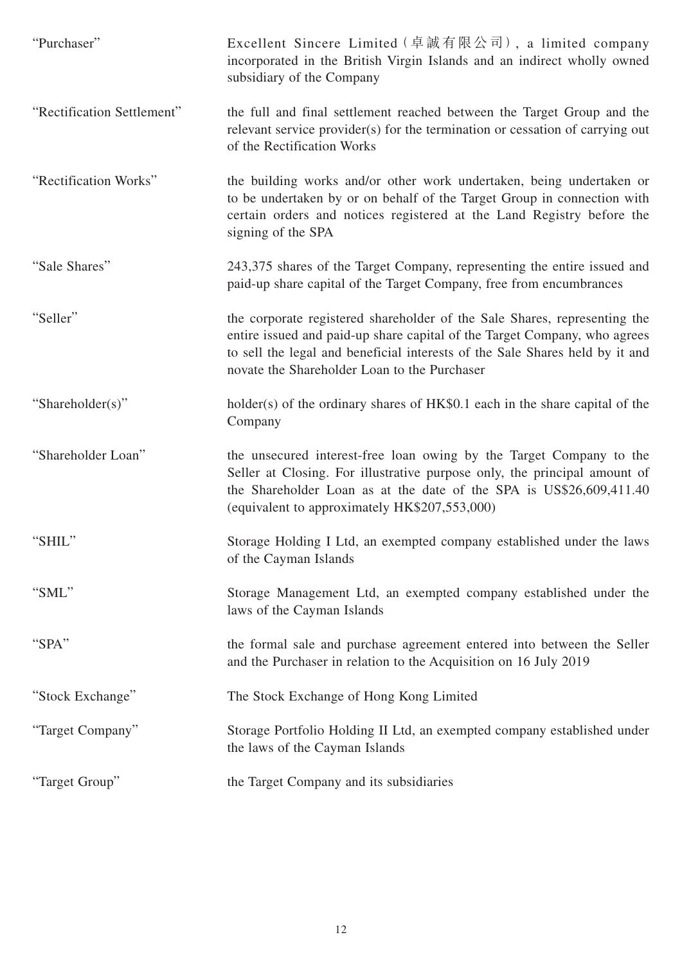| "Purchaser"                | Excellent Sincere Limited (卓誠有限公司), a limited company<br>incorporated in the British Virgin Islands and an indirect wholly owned<br>subsidiary of the Company                                                                                                                          |
|----------------------------|----------------------------------------------------------------------------------------------------------------------------------------------------------------------------------------------------------------------------------------------------------------------------------------|
| "Rectification Settlement" | the full and final settlement reached between the Target Group and the<br>relevant service provider(s) for the termination or cessation of carrying out<br>of the Rectification Works                                                                                                  |
| "Rectification Works"      | the building works and/or other work undertaken, being undertaken or<br>to be undertaken by or on behalf of the Target Group in connection with<br>certain orders and notices registered at the Land Registry before the<br>signing of the SPA                                         |
| "Sale Shares"              | 243,375 shares of the Target Company, representing the entire issued and<br>paid-up share capital of the Target Company, free from encumbrances                                                                                                                                        |
| "Seller"                   | the corporate registered shareholder of the Sale Shares, representing the<br>entire issued and paid-up share capital of the Target Company, who agrees<br>to sell the legal and beneficial interests of the Sale Shares held by it and<br>novate the Shareholder Loan to the Purchaser |
| "Shareholder(s)"           | holder(s) of the ordinary shares of HK\$0.1 each in the share capital of the<br>Company                                                                                                                                                                                                |
| "Shareholder Loan"         | the unsecured interest-free loan owing by the Target Company to the<br>Seller at Closing. For illustrative purpose only, the principal amount of<br>the Shareholder Loan as at the date of the SPA is US\$26,609,411.40<br>(equivalent to approximately HK\$207,553,000)               |
| "SHIL"                     | Storage Holding I Ltd, an exempted company established under the laws<br>of the Cayman Islands                                                                                                                                                                                         |
| "SML"                      | Storage Management Ltd, an exempted company established under the<br>laws of the Cayman Islands                                                                                                                                                                                        |
| "SPA"                      | the formal sale and purchase agreement entered into between the Seller<br>and the Purchaser in relation to the Acquisition on 16 July 2019                                                                                                                                             |
| "Stock Exchange"           | The Stock Exchange of Hong Kong Limited                                                                                                                                                                                                                                                |
| "Target Company"           | Storage Portfolio Holding II Ltd, an exempted company established under<br>the laws of the Cayman Islands                                                                                                                                                                              |
| "Target Group"             | the Target Company and its subsidiaries                                                                                                                                                                                                                                                |